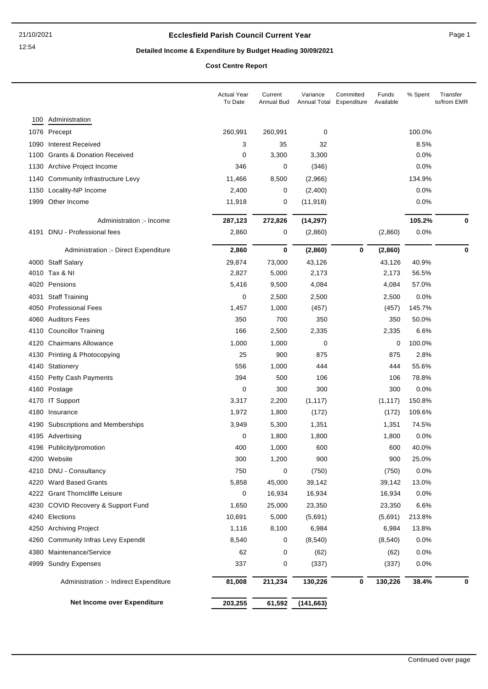### **Ecclesfield Parish Council Current Year** Page 1

# **Detailed Income & Expenditure by Budget Heading 30/09/2021**

**Cost Centre Report**

|      |                                        | <b>Actual Year</b><br>To Date | Current<br>Annual Bud | Variance<br><b>Annual Total</b> | Committed<br>Expenditure | Funds<br>Available | % Spent | Transfer<br>to/from EMR |
|------|----------------------------------------|-------------------------------|-----------------------|---------------------------------|--------------------------|--------------------|---------|-------------------------|
| 100  | Administration                         |                               |                       |                                 |                          |                    |         |                         |
|      | 1076 Precept                           | 260,991                       | 260,991               | 0                               |                          |                    | 100.0%  |                         |
| 1090 | <b>Interest Received</b>               | 3                             | 35                    | 32                              |                          |                    | 8.5%    |                         |
| 1100 | <b>Grants &amp; Donation Received</b>  | 0                             | 3,300                 | 3,300                           |                          |                    | 0.0%    |                         |
| 1130 | Archive Project Income                 | 346                           | 0                     | (346)                           |                          |                    | 0.0%    |                         |
| 1140 | Community Infrastructure Levy          | 11,466                        | 8,500                 | (2,966)                         |                          |                    | 134.9%  |                         |
| 1150 | Locality-NP Income                     | 2,400                         | 0                     | (2,400)                         |                          |                    | 0.0%    |                         |
| 1999 | Other Income                           | 11,918                        | 0                     | (11, 918)                       |                          |                    | 0.0%    |                         |
|      |                                        |                               |                       |                                 |                          |                    |         |                         |
|      | Administration :- Income               | 287,123                       | 272,826               | (14, 297)                       |                          |                    | 105.2%  | 0                       |
| 4191 | DNU - Professional fees                | 2,860                         | 0                     | (2,860)                         |                          | (2,860)            | 0.0%    |                         |
|      | Administration :- Direct Expenditure   | 2,860                         | 0                     | (2,860)                         | 0                        | (2,860)            |         | 0                       |
|      | 4000 Staff Salary                      | 29,874                        | 73,000                | 43,126                          |                          | 43,126             | 40.9%   |                         |
|      | 4010 Tax & NI                          | 2,827                         | 5,000                 | 2,173                           |                          | 2,173              | 56.5%   |                         |
| 4020 | Pensions                               | 5,416                         | 9,500                 | 4,084                           |                          | 4,084              | 57.0%   |                         |
| 4031 | <b>Staff Training</b>                  | 0                             | 2,500                 | 2,500                           |                          | 2,500              | 0.0%    |                         |
| 4050 | <b>Professional Fees</b>               | 1,457                         | 1,000                 | (457)                           |                          | (457)              | 145.7%  |                         |
| 4060 | <b>Auditors Fees</b>                   | 350                           | 700                   | 350                             |                          | 350                | 50.0%   |                         |
| 4110 | <b>Councillor Training</b>             | 166                           | 2,500                 | 2,335                           |                          | 2,335              | 6.6%    |                         |
| 4120 | <b>Chairmans Allowance</b>             | 1,000                         | 1,000                 | 0                               |                          | 0                  | 100.0%  |                         |
| 4130 | Printing & Photocopying                | 25                            | 900                   | 875                             |                          | 875                | 2.8%    |                         |
| 4140 | Stationery                             | 556                           | 1,000                 | 444                             |                          | 444                | 55.6%   |                         |
| 4150 | <b>Petty Cash Payments</b>             | 394                           | 500                   | 106                             |                          | 106                | 78.8%   |                         |
| 4160 | Postage                                | 0                             | 300                   | 300                             |                          | 300                | 0.0%    |                         |
|      | 4170 IT Support                        | 3,317                         | 2,200                 | (1, 117)                        |                          | (1, 117)           | 150.8%  |                         |
| 4180 | Insurance                              | 1,972                         | 1,800                 | (172)                           |                          | (172)              | 109.6%  |                         |
|      | 4190 Subscriptions and Memberships     | 3,949                         | 5,300                 | 1,351                           |                          | 1,351              | 74.5%   |                         |
|      | 4195 Advertising                       | 0                             | 1,800                 | 1,800                           |                          | 1,800              | 0.0%    |                         |
|      | 4196 Publicity/promotion               | 400                           | 1,000                 | 600                             |                          | 600                | 40.0%   |                         |
|      | 4200 Website                           | 300                           | 1,200                 | 900                             |                          | 900                | 25.0%   |                         |
|      | 4210 DNU - Consultancy                 | 750                           | 0                     | (750)                           |                          | (750)              | 0.0%    |                         |
| 4220 | <b>Ward Based Grants</b>               | 5,858                         | 45,000                | 39,142                          |                          | 39,142             | 13.0%   |                         |
|      | 4222 Grant Thorncliffe Leisure         | 0                             | 16,934                | 16,934                          |                          | 16,934             | 0.0%    |                         |
| 4230 | COVID Recovery & Support Fund          | 1,650                         | 25,000                | 23,350                          |                          | 23,350             | 6.6%    |                         |
|      | 4240 Elections                         | 10,691                        | 5,000                 | (5,691)                         |                          | (5,691)            | 213.8%  |                         |
|      | 4250 Archiving Project                 | 1,116                         | 8,100                 | 6,984                           |                          | 6,984              | 13.8%   |                         |
| 4260 | <b>Community Infras Levy Expendit</b>  | 8,540                         | 0                     | (8, 540)                        |                          | (8,540)            | 0.0%    |                         |
| 4380 | Maintenance/Service                    | 62                            | 0                     | (62)                            |                          | (62)               | 0.0%    |                         |
| 4999 | <b>Sundry Expenses</b>                 | 337                           | 0                     | (337)                           |                          | (337)              | 0.0%    |                         |
|      | Administration :- Indirect Expenditure | 81,008                        | 211,234               | 130,226                         | 0                        | 130,226            | 38.4%   | 0                       |
|      | Net Income over Expenditure            | 203,255                       | 61,592                | (141, 663)                      |                          |                    |         |                         |
|      |                                        |                               |                       |                                 |                          |                    |         |                         |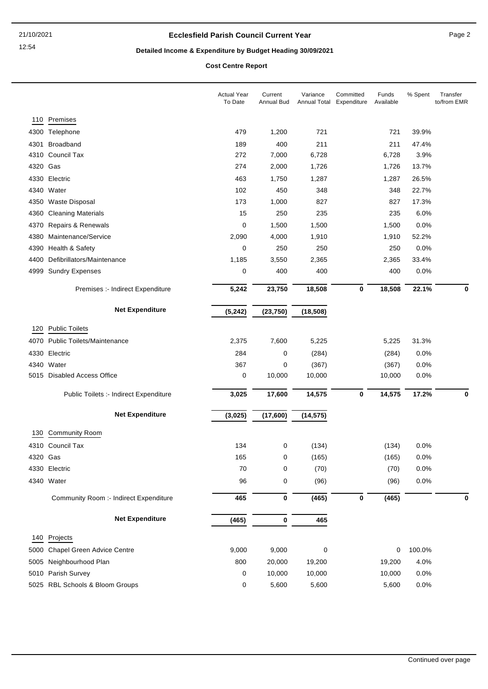### **Ecclesfield Parish Council Current Year** Page 2

# **Detailed Income & Expenditure by Budget Heading 30/09/2021**

**Cost Centre Report**

|          |                                           | <b>Actual Year</b><br>To Date | Current<br><b>Annual Bud</b> | Variance<br><b>Annual Total</b> | Committed<br>Expenditure | Funds<br>Available | % Spent | Transfer<br>to/from EMR |
|----------|-------------------------------------------|-------------------------------|------------------------------|---------------------------------|--------------------------|--------------------|---------|-------------------------|
| 110      | Premises                                  |                               |                              |                                 |                          |                    |         |                         |
|          | 4300 Telephone                            | 479                           | 1,200                        | 721                             |                          | 721                | 39.9%   |                         |
| 4301     | Broadband                                 | 189                           | 400                          | 211                             |                          | 211                | 47.4%   |                         |
|          | 4310 Council Tax                          | 272                           | 7,000                        | 6,728                           |                          | 6,728              | 3.9%    |                         |
| 4320 Gas |                                           | 274                           | 2,000                        | 1,726                           |                          | 1,726              | 13.7%   |                         |
|          | 4330 Electric                             | 463                           | 1,750                        | 1,287                           |                          | 1,287              | 26.5%   |                         |
| 4340     | Water                                     | 102                           | 450                          | 348                             |                          | 348                | 22.7%   |                         |
| 4350     | <b>Waste Disposal</b>                     | 173                           | 1,000                        | 827                             |                          | 827                | 17.3%   |                         |
| 4360     | <b>Cleaning Materials</b>                 | 15                            | 250                          | 235                             |                          | 235                | 6.0%    |                         |
| 4370     | Repairs & Renewals                        | 0                             | 1,500                        | 1,500                           |                          | 1,500              | 0.0%    |                         |
| 4380     | Maintenance/Service                       | 2,090                         | 4,000                        | 1,910                           |                          | 1,910              | 52.2%   |                         |
| 4390     | Health & Safety                           | 0                             | 250                          | 250                             |                          | 250                | 0.0%    |                         |
| 4400     | Defibrillators/Maintenance                | 1,185                         | 3,550                        | 2,365                           |                          | 2,365              | 33.4%   |                         |
| 4999     | <b>Sundry Expenses</b>                    | 0                             | 400                          | 400                             |                          | 400                | 0.0%    |                         |
|          | Premises :- Indirect Expenditure          | 5,242                         | 23,750                       | 18,508                          | $\bf{0}$                 | 18,508             | 22.1%   | 0                       |
|          | <b>Net Expenditure</b>                    | (5, 242)                      | (23, 750)                    | (18, 508)                       |                          |                    |         |                         |
|          |                                           |                               |                              |                                 |                          |                    |         |                         |
| 120      | <b>Public Toilets</b>                     |                               |                              |                                 |                          |                    |         |                         |
| 4070     | <b>Public Toilets/Maintenance</b>         | 2,375                         | 7,600                        | 5,225                           |                          | 5,225              | 31.3%   |                         |
| 4330     | Electric                                  | 284                           | 0                            | (284)                           |                          | (284)              | 0.0%    |                         |
|          | 4340 Water<br>5015 Disabled Access Office | 367                           | 0<br>10,000                  | (367)                           |                          | (367)              | 0.0%    |                         |
|          |                                           | 0                             |                              | 10,000                          |                          | 10,000             | 0.0%    |                         |
|          | Public Toilets :- Indirect Expenditure    | 3,025                         | 17,600                       | 14,575                          | $\bf{0}$                 | 14,575             | 17.2%   | $\mathbf 0$             |
|          | <b>Net Expenditure</b>                    | (3,025)                       | (17,600)                     | (14, 575)                       |                          |                    |         |                         |
| 130      | <b>Community Room</b>                     |                               |                              |                                 |                          |                    |         |                         |
|          | 4310 Council Tax                          | 134                           | 0                            | (134)                           |                          | (134)              | 0.0%    |                         |
| 4320 Gas |                                           | 165                           | 0                            | (165)                           |                          | (165)              | 0.0%    |                         |
|          | 4330 Electric                             | 70                            | 0                            | (70)                            |                          | (70)               | 0.0%    |                         |
|          | 4340 Water                                | 96                            | 0                            | (96)                            |                          | (96)               | 0.0%    |                         |
|          | Community Room :- Indirect Expenditure    | 465                           | $\bf{0}$                     | (465)                           | $\boldsymbol{0}$         | (465)              |         | 0                       |
|          | <b>Net Expenditure</b>                    | (465)                         | 0                            | 465                             |                          |                    |         |                         |
|          |                                           |                               |                              |                                 |                          |                    |         |                         |
|          | 140 Projects                              |                               |                              |                                 |                          |                    |         |                         |
|          | 5000 Chapel Green Advice Centre           | 9,000                         | 9,000                        | $\pmb{0}$                       |                          | $\mathbf 0$        | 100.0%  |                         |
|          | 5005 Neighbourhood Plan                   | 800                           | 20,000                       | 19,200                          |                          | 19,200             | 4.0%    |                         |
|          | 5010 Parish Survey                        | $\pmb{0}$                     | 10,000                       | 10,000                          |                          | 10,000             | 0.0%    |                         |
|          | 5025 RBL Schools & Bloom Groups           | 0                             | 5,600                        | 5,600                           |                          | 5,600              | 0.0%    |                         |